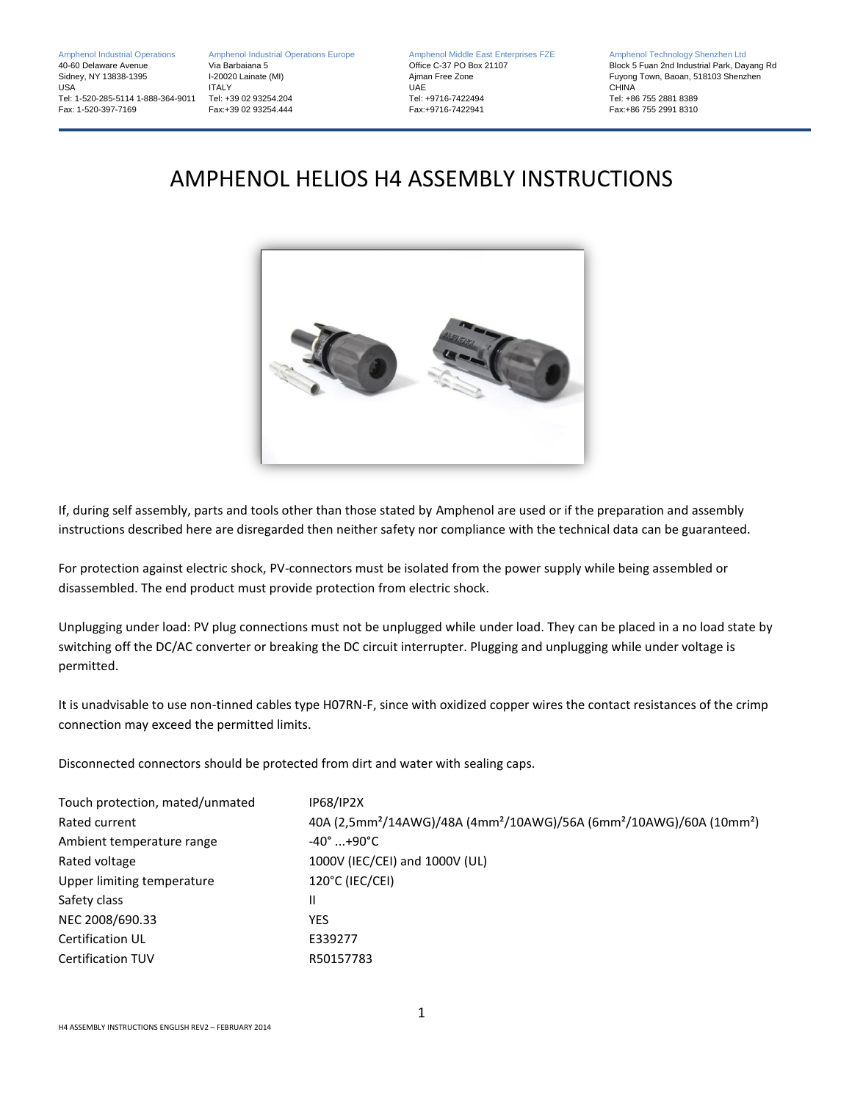Tel: 1-520-285-5114 1-888-364-9011 Tel: +39 02 93254.204 Tel: +9716-7422494 Tel: +86 755 2881 8389

40-60 Delaware Avenue Via Barbaiana 5 Office C-37 PO Box 21107 Block 5 Fuan 2nd Industrial Park, Dayang Rd Fuyong Town, Baoan, 518103 Shenzhen Fax: +86 755 2991 8310

# AMPHENOL HELIOS H4 ASSEMBLY INSTRUCTIONS



If, during self assembly, parts and tools other than those stated by Amphenol are used or if the preparation and assembly instructions described here are disregarded then neither safety nor compliance with the technical data can be guaranteed.

For protection against electric shock, PV-connectors must be isolated from the power supply while being assembled or disassembled. The end product must provide protection from electric shock.

Unplugging under load: PV plug connections must not be unplugged while under load. They can be placed in a no load state by switching off the DC/AC converter or breaking the DC circuit interrupter. Plugging and unplugging while under voltage is permitted.

It is unadvisable to use non-tinned cables type H07RN-F, since with oxidized copper wires the contact resistances of the crimp connection may exceed the permitted limits.

Disconnected connectors should be protected from dirt and water with sealing caps.

| Touch protection, mated/unmated | IP68/IP2X                                                                                                            |
|---------------------------------|----------------------------------------------------------------------------------------------------------------------|
| Rated current                   | 40A (2,5mm <sup>2</sup> /14AWG)/48A (4mm <sup>2</sup> /10AWG)/56A (6mm <sup>2</sup> /10AWG)/60A (10mm <sup>2</sup> ) |
| Ambient temperature range       | $-40^{\circ}$ +90 $^{\circ}$ C                                                                                       |
| Rated voltage                   | 1000V (IEC/CEI) and 1000V (UL)                                                                                       |
| Upper limiting temperature      | 120°C (IEC/CEI)                                                                                                      |
| Safety class                    | Ш                                                                                                                    |
| NEC 2008/690.33                 | YES.                                                                                                                 |
| <b>Certification UL</b>         | E339277                                                                                                              |
| <b>Certification TUV</b>        | R50157783                                                                                                            |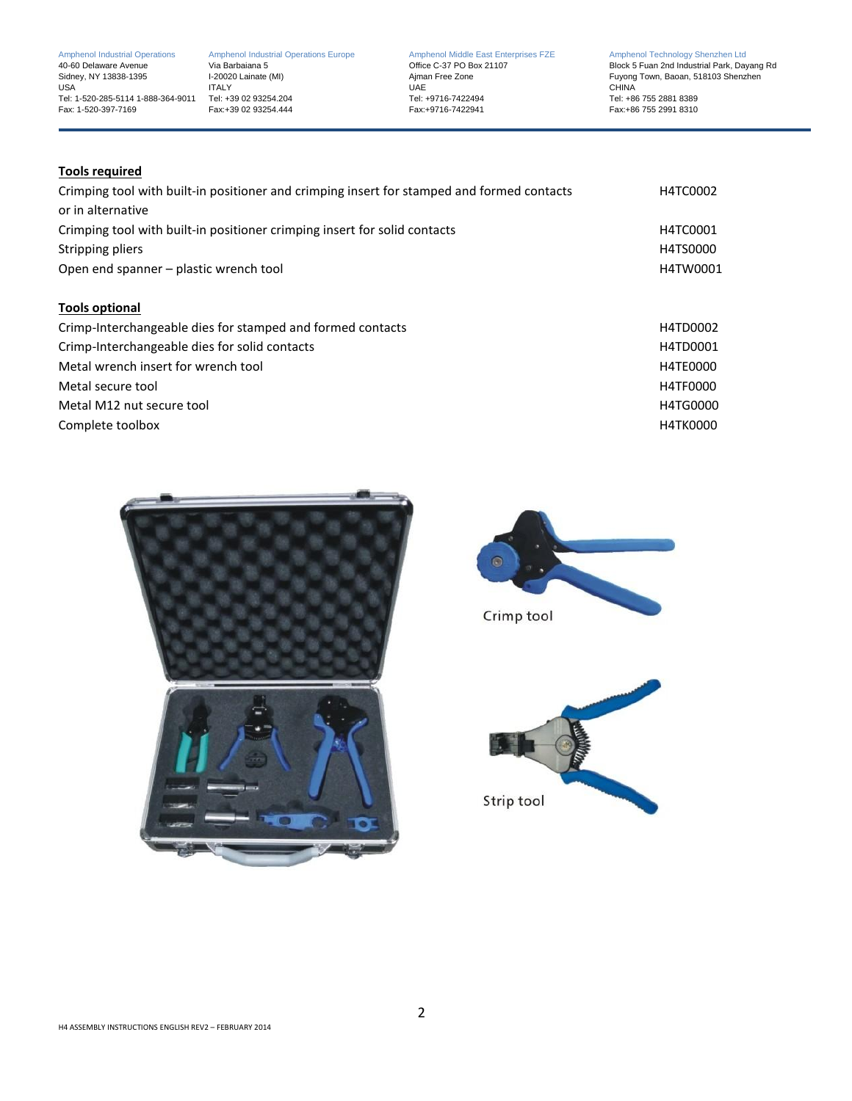Tel: 1-520-285-5114 1-888-364-9011 Tel: +39 02 93254.204 Tel: +9716-7422494 Tel: +86 755 2881 8389

Amphenol Industrial Operations Amphenol Industrial Operations Europe Amphenol Middle East Enterprises FZE Amphenol Technology Shenzhen Ltd USA ITALY UAE CHINA

40-60 Delaware Avenue Via Barbaiana 5 (Via Barbaiana 5 Office C-37 PO Box 21107 / Block 5 Fuan 2nd Industrial Park, Dayang Rd<br>Sidney, NY 13838-1395 (I-20020 Lainate (MI) / Ajman Free Zone / Ajman Free Zone / Fuyong Town, B Fuyong Town, Baoan, 518103 Shenzhen Fax: +86 755 2991 8310

# **Tools required**

| Crimping tool with built-in positioner and crimping insert for stamped and formed contacts | H4TC0002        |
|--------------------------------------------------------------------------------------------|-----------------|
| or in alternative                                                                          |                 |
| Crimping tool with built-in positioner crimping insert for solid contacts                  | H4TC0001        |
| Stripping pliers                                                                           | H4TS0000        |
| Open end spanner – plastic wrench tool                                                     | H4TW0001        |
| <b>Tools optional</b>                                                                      |                 |
| Crimp-Interchangeable dies for stamped and formed contacts                                 | H4TD0002        |
| Crimp-Interchangeable dies for solid contacts                                              | H4TD0001        |
| Metal wrench insert for wrench tool                                                        | H4TE0000        |
| Metal secure tool                                                                          | H4TF0000        |
| Metal M12 nut secure tool                                                                  | H4TG0000        |
| Complete toolbox                                                                           | <b>H4TK0000</b> |





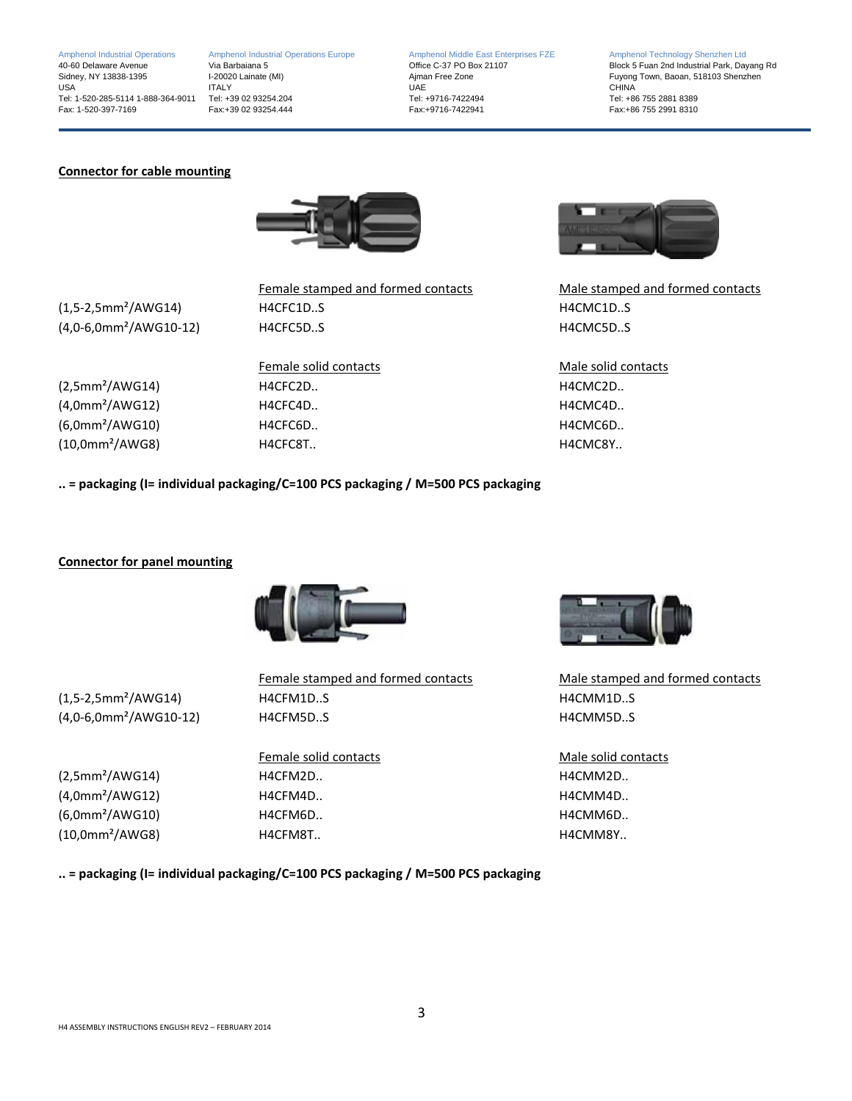Tel: 1-520-285-5114 1-888-364-9011 Tel: +39 02 93254.204 Tel: +9716-7422494 Tel: +86 755 2881 8389

Amphenol Industrial Operations Amphenol Industrial Operations Europe Amphenol Middle East Enterprises FZE Amphenol Technology Shenzhen Ltd USA ITALY UAE CHINA

40-60 Delaware Avenue Via Barbaiana 5 (Via Barbaiana 5 Office C-37 PO Box 21107 / Block 5 Fuan 2nd Industrial Park, Dayang Rd<br>Sidney, NY 13838-1395 (I-20020 Lainate (MI) / Ajman Free Zone / Ajman Free Zone / Fuyong Town, B Fuyong Town, Baoan, 518103 Shenzhen Fax: +86 755 2991 8310

# **Connector for cable mounting**



|                             | Female stamped and formed contacts | Male stamped and formed contacts |
|-----------------------------|------------------------------------|----------------------------------|
| $(1,5-2,5mm^2/AWG14)$       | H4CFC1DS                           | H4CMC1DS                         |
| $(4,0-6,0mm2/AWG10-12)$     | H4CFC5DS                           | H4CMC5DS                         |
|                             | Female solid contacts              | Male solid contacts              |
| (2,5mm <sup>2</sup> /AWG14) | H4CFC2D                            | H4CMC2D                          |
| (4,0mm <sup>2</sup> /AWG12) | H4CFC4D                            | H4CMC4D                          |
| $(6,0mm^2/AWG10)$           | H4CFC6D                            | H4CMC6D                          |
| (10,0mm <sup>2</sup> /AWG8) | H4CFC8T                            | H4CMC8Y                          |

**.. = packaging (I= individual packaging/C=100 PCS packaging / M=500 PCS packaging**

# **Connector for panel mounting**



| $(1,5-2,5mm^2/AWG14)$    |
|--------------------------|
| $(4,0-6,0mm^2/AWG10-12)$ |

H4CFM1D..S H4CMM1D..S H4CFM5D..S H4CMM5D..S

Female solid contacts Male solid contacts (2,5mm²/AWG14) H4CFM2D.. H4CMM2D.. (4,0mm²/AWG12) H4CFM4D.. H4CMM4D.. (6,0mm²/AWG10) H4CFM6D.. H4CMM6D.. (10,0mm<sup>2</sup>/AWG8) H4CFM8T.. H4CMM8Y.. H4CMM8Y..



Female stamped and formed contacts Male stamped and formed contacts

**.. = packaging (I= individual packaging/C=100 PCS packaging / M=500 PCS packaging**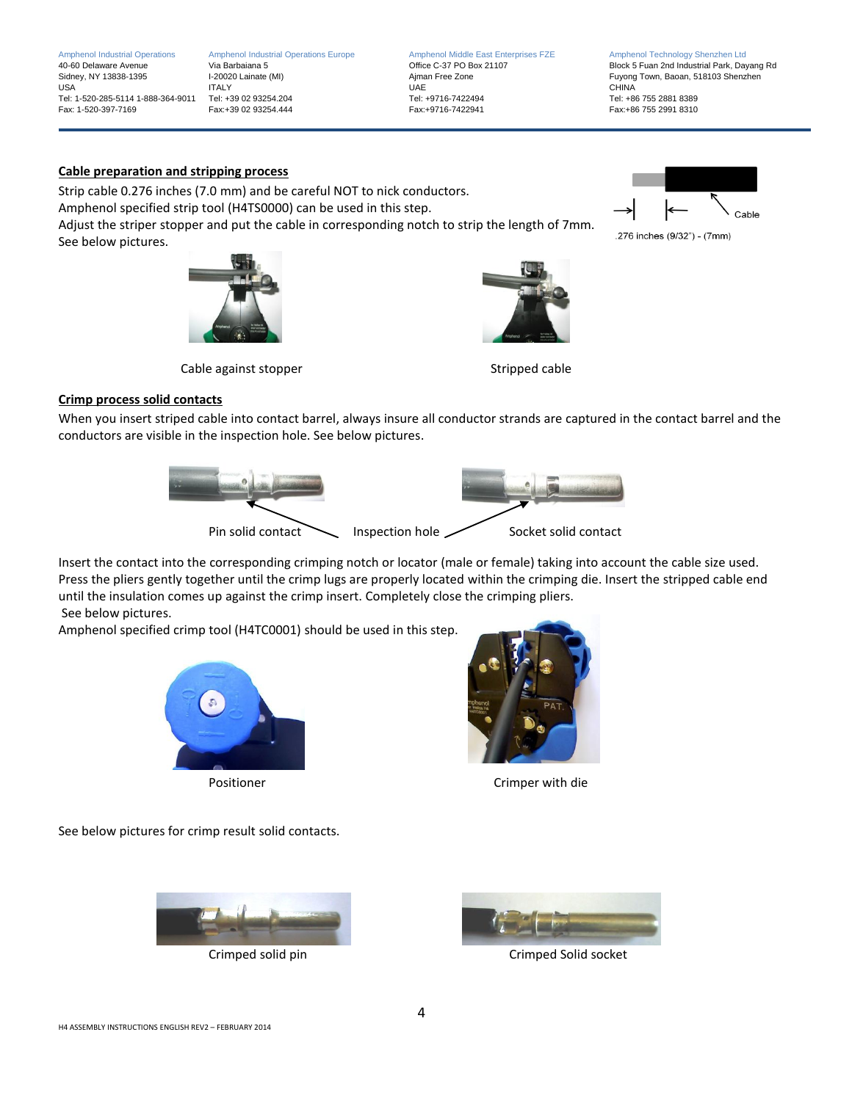Tel: 1-520-285-5114 1-888-364-9011 Tel: +39 02 93254.204 Tel: +9716-7422494 Tel: +86 755 2881 8389

Amphenol Industrial Operations Amphenol Industrial Operations Europe Amphenol Middle East Enterprises FZE Amphenol Technology Shenzhen Ltd USA ITALY UAE CHINA

40-60 Delaware Avenue Via Barbaiana 5 Office C-37 PO Box 21107 Block 5 Fuan 2nd Industrial Park, Dayang Rd Fuyong Town, Baoan, 518103 Shenzhen Fax: +86 755 2991 8310

#### **Cable preparation and stripping process**

Strip cable 0.276 inches (7.0 mm) and be careful NOT to nick conductors.

Amphenol specified strip tool (H4TS0000) can be used in this step.

Adjust the striper stopper and put the cable in corresponding notch to strip the length of 7mm. See below pictures.









### **Crimp process solid contacts**

When you insert striped cable into contact barrel, always insure all conductor strands are captured in the contact barrel and the conductors are visible in the inspection hole. See below pictures.



Insert the contact into the corresponding crimping notch or locator (male or female) taking into account the cable size used. Press the pliers gently together until the crimp lugs are properly located within the crimping die. Insert the stripped cable end until the insulation comes up against the crimp insert. Completely close the crimping pliers. See below pictures.

Amphenol specified crimp tool (H4TC0001) should be used in this step.





Positioner Crimper with die

See below pictures for crimp result solid contacts.





Crimped solid pin Crimped Solid socket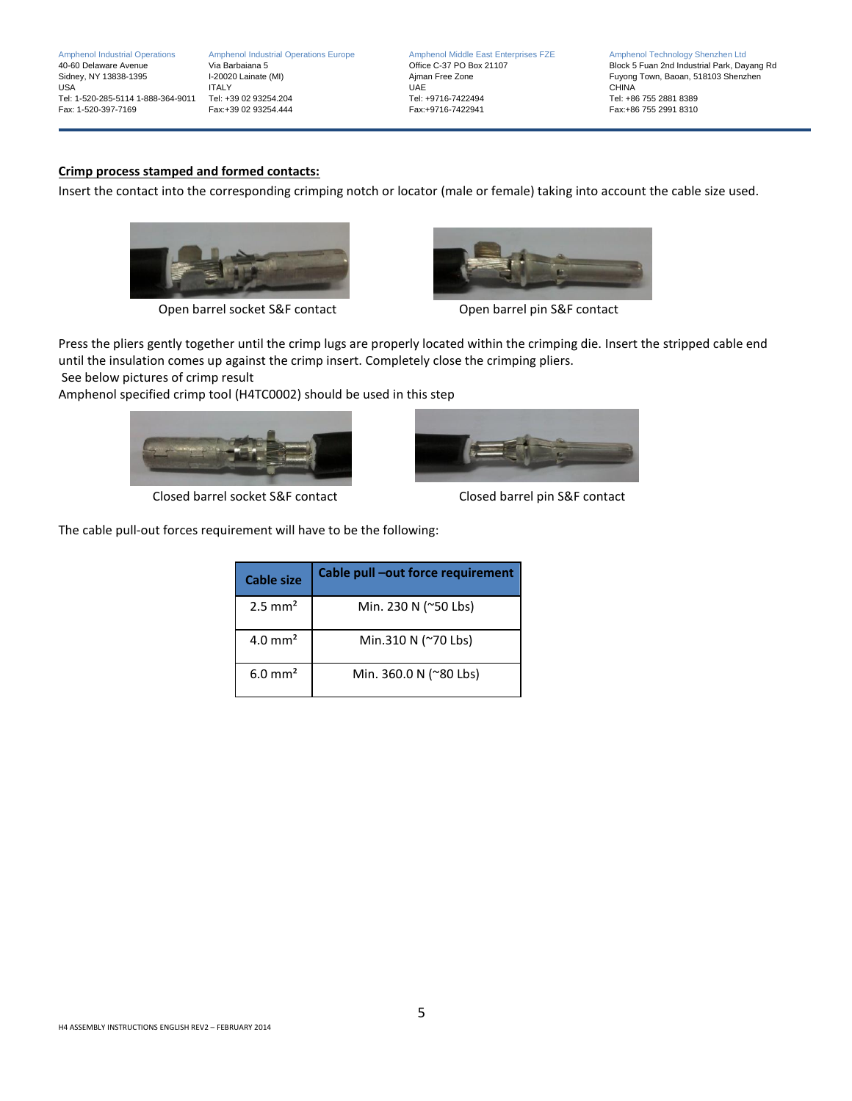Tel: 1-520-285-5114 1-888-364-9011 Tel: +39 02 93254.204 Tel: +9716-7422494 Tel: +86 755 2881 8389

40-60 Delaware Avenue Via Barbaiana 5 Office C-37 PO Box 21107 Block 5 Fuan 2nd Industrial Park, Dayang Rd Fuyong Town, Baoan, 518103 Shenzhen Fax: +86 755 2991 8310

### **Crimp process stamped and formed contacts:**

Insert the contact into the corresponding crimping notch or locator (male or female) taking into account the cable size used.



Open barrel socket S&F contact Open barrel pin S&F contact



Press the pliers gently together until the crimp lugs are properly located within the crimping die. Insert the stripped cable end until the insulation comes up against the crimp insert. Completely close the crimping pliers.

See below pictures of crimp result

Amphenol specified crimp tool (H4TC0002) should be used in this step





Closed barrel socket S&F contact Closed barrel pin S&F contact

The cable pull-out forces requirement will have to be the following:

| <b>Cable size</b>  | Cable pull -out force requirement |
|--------------------|-----------------------------------|
| $2.5 \text{ mm}^2$ | Min. 230 N (~50 Lbs)              |
| $4.0 \text{ mm}^2$ | Min.310 N (~70 Lbs)               |
| $6.0 \text{ mm}^2$ | Min. 360.0 N (~80 Lbs)            |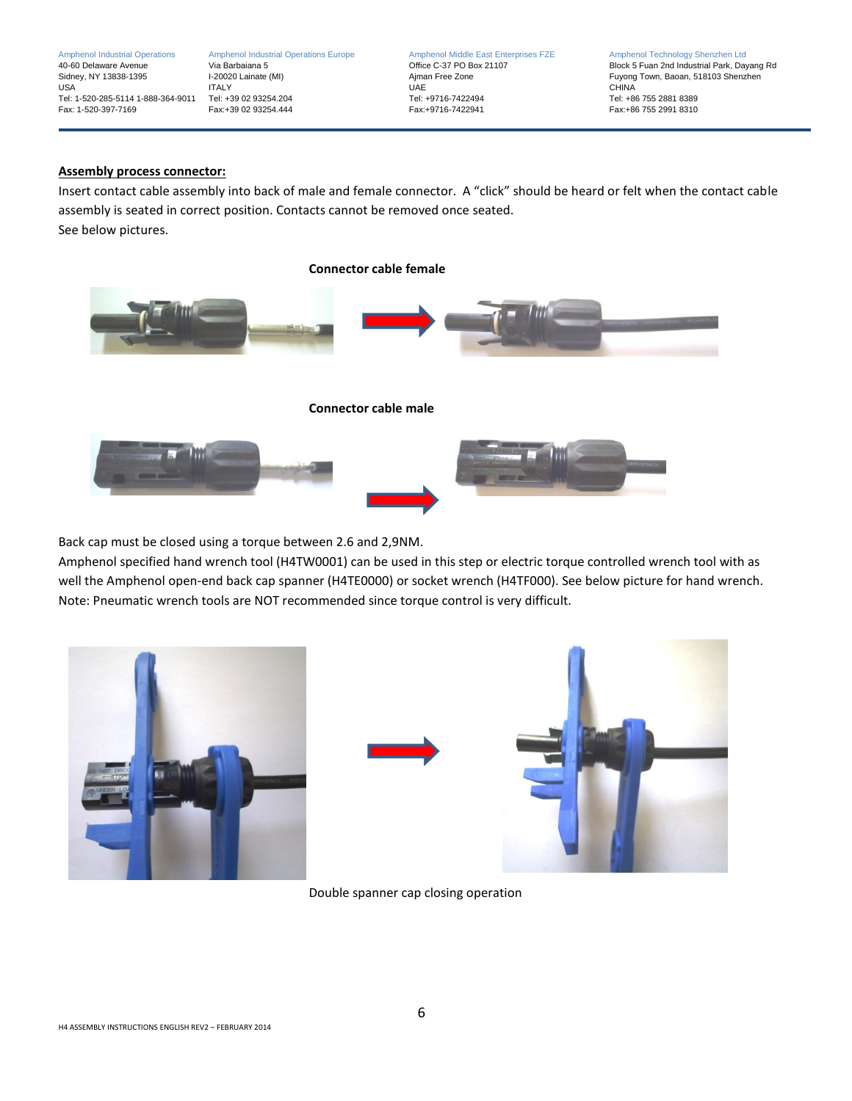Tel: 1-520-285-5114 1-888-364-9011 Tel: +39 02 93254.204 Tel: +9716-7422494 Tel: +86 755 2881 8389

40-60 Delaware Avenue Via Barbaiana 5 Office C-37 PO Box 21107 Block 5 Fuan 2nd Industrial Park, Dayang Rd Fuyong Town, Baoan, 518103 Shenzhen Fax: +86 755 2991 8310

#### **Assembly process connector:**

Insert contact cable assembly into back of male and female connector. A "click" should be heard or felt when the contact cable assembly is seated in correct position. Contacts cannot be removed once seated. See below pictures.



Back cap must be closed using a torque between 2.6 and 2,9NM.

Amphenol specified hand wrench tool (H4TW0001) can be used in this step or electric torque controlled wrench tool with as well the Amphenol open-end back cap spanner (H4TE0000) or socket wrench (H4TF000). See below picture for hand wrench. Note: Pneumatic wrench tools are NOT recommended since torque control is very difficult.







Double spanner cap closing operation